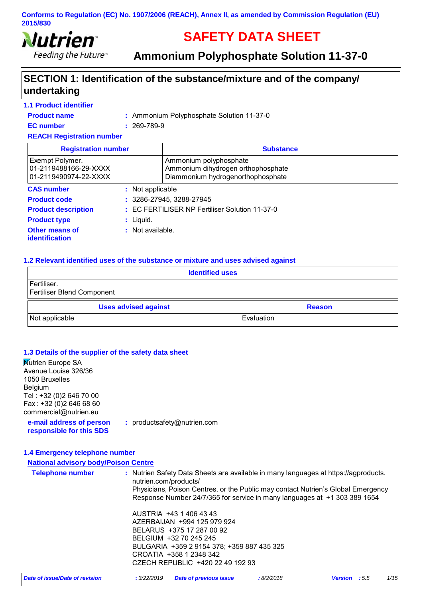

# **SAFETY DATA SHEET**

**Ammonium Polyphosphate Solution 11-37-0** 

### **SECTION 1: Identification of the substance/mixture and of the company/ undertaking**

| <b>1.1 Product identifier</b>                                     |                   |                                                                                                   |  |
|-------------------------------------------------------------------|-------------------|---------------------------------------------------------------------------------------------------|--|
| <b>Product name</b>                                               |                   | : Ammonium Polyphosphate Solution 11-37-0                                                         |  |
| <b>EC</b> number                                                  | $: 269 - 789 - 9$ |                                                                                                   |  |
| <b>REACH Registration number</b>                                  |                   |                                                                                                   |  |
| <b>Registration number</b>                                        |                   | <b>Substance</b>                                                                                  |  |
| Exempt Polymer.<br>01-2119488166-29-XXXX<br>01-2119490974-22-XXXX |                   | Ammonium polyphosphate<br>Ammonium dihydrogen orthophosphate<br>Diammonium hydrogenorthophosphate |  |
| <b>CAS number</b>                                                 | : Not applicable  |                                                                                                   |  |
| <b>Product code</b>                                               |                   | $: 3286 - 27945, 3288 - 27945$                                                                    |  |
| <b>Product description</b>                                        |                   | : EC FERTILISER NP Fertiliser Solution 11-37-0                                                    |  |
| <b>Product type</b>                                               | : Liguid.         |                                                                                                   |  |
| Other means of<br><b>identification</b>                           | : Not available.  |                                                                                                   |  |

#### **1.2 Relevant identified uses of the substance or mixture and uses advised against**

| <b>Identified uses</b>                           |                    |  |  |
|--------------------------------------------------|--------------------|--|--|
| Fertiliser.<br><b>Fertiliser Blend Component</b> |                    |  |  |
| <b>Uses advised against</b>                      | <b>Reason</b>      |  |  |
| Not applicable                                   | <b>IEvaluation</b> |  |  |

#### **1.3 Details of the supplier of the safety data sheet**

**Mutrien Europe SA** Avenue Louise 326/36 1050 Bruxelles Belgium Tel : +32 (0)2 646 70 00 Fax : +32 (0)2 646 68 60 commercial@nutrien.eu

**e-mail address of person responsible for this SDS :** productsafety@nutrien.com

**1.4 Emergency telephone number**

#### **National advisory body/Poison Centre**

| <b>National auvisory bouy resort centre</b> |                                                                                                              |
|---------------------------------------------|--------------------------------------------------------------------------------------------------------------|
| <b>Telephone number</b>                     | : Nutrien Safety Data Sheets are available in many languages at https://agproducts.<br>nutrien.com/products/ |
|                                             | Physicians, Poison Centres, or the Public may contact Nutrien's Global Emergency                             |
|                                             | Response Number 24/7/365 for service in many languages at +1 303 389 1654                                    |
|                                             | AUSTRIA +43 1 406 43 43                                                                                      |
|                                             | AZERBAIJAN +994 125 979 924                                                                                  |
|                                             | BELARUS +375 17 287 00 92                                                                                    |
|                                             | BELGIUM +32 70 245 245                                                                                       |
|                                             | BULGARIA +359 2 9154 378; +359 887 435 325                                                                   |
|                                             | CROATIA +358 1 2348 342                                                                                      |
|                                             | CZECH REPUBLIC +420 22 49 192 93                                                                             |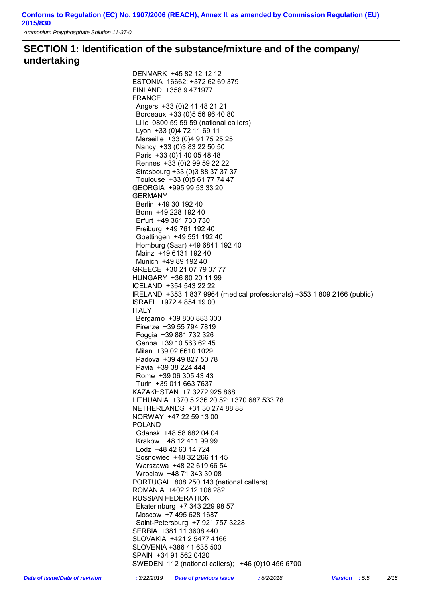*Ammonium Polyphosphate Solution 11-37-0* 

### **SECTION 1: Identification of the substance/mixture and of the company/ undertaking**

| DENMARK +45 82 12 12 12                                                  |
|--------------------------------------------------------------------------|
| ESTONIA 16662; +372 62 69 379                                            |
| FINLAND +358 9 471977                                                    |
| <b>FRANCE</b>                                                            |
| Angers +33 (0) 2 41 48 21 21                                             |
| Bordeaux +33 (0) 5 56 96 40 80                                           |
| Lille 0800 59 59 59 (national callers)                                   |
| Lyon +33 (0)4 72 11 69 11                                                |
| Marseille +33 (0)4 91 75 25 25                                           |
| Nancy +33 (0) 3 83 22 50 50                                              |
| Paris +33 (0) 1 40 05 48 48                                              |
| Rennes +33 (0) 2 99 59 22 22                                             |
|                                                                          |
| Strasbourg +33 (0)3 88 37 37 37                                          |
| Toulouse +33 (0)5 61 77 74 47                                            |
| GEORGIA +995 99 53 33 20                                                 |
| <b>GERMANY</b>                                                           |
| Berlin +49 30 192 40                                                     |
| Bonn +49 228 192 40                                                      |
| Erfurt +49 361 730 730                                                   |
| Freiburg +49 761 192 40                                                  |
| Goettingen +49 551 192 40                                                |
| Homburg (Saar) +49 6841 192 40                                           |
| Mainz +49 6131 192 40                                                    |
| Munich +49 89 192 40                                                     |
| GREECE +30 21 07 79 37 77                                                |
| HUNGARY +36 80 20 11 99                                                  |
| ICELAND +354 543 22 22                                                   |
|                                                                          |
| IRELAND +353 1 837 9964 (medical professionals) +353 1 809 2166 (public) |
| ISRAEL +972 4 854 19 00                                                  |
| <b>ITALY</b>                                                             |
| Bergamo +39 800 883 300                                                  |
| Firenze +39 55 794 7819                                                  |
| Foggia +39 881 732 326                                                   |
| Genoa +39 10 563 62 45                                                   |
| Milan +39 02 6610 1029                                                   |
| Padova +39 49 827 50 78                                                  |
| Pavia +39 38 224 444                                                     |
| Rome +39 06 305 43 43                                                    |
| Turin +39 011 663 7637                                                   |
| KAZAKHSTAN +7 3272 925 868                                               |
| LITHUANIA +370 5 236 20 52; +370 687 533 78                              |
| NETHERLANDS +31 30 274 88 88                                             |
| NORWAY +47 22 59 13 00                                                   |
|                                                                          |
| <b>POLAND</b>                                                            |
| Gdansk +48 58 682 04 04                                                  |
| Krakow +48 12 411 99 99                                                  |
| Lòdz +48 42 63 14 724                                                    |
| Sosnowiec +48 32 266 11 45                                               |
| Warszawa +48 22 619 66 54                                                |
| Wroclaw +48 71 343 30 08                                                 |
| PORTUGAL 808 250 143 (national callers)                                  |
| ROMANIA +402 212 106 282                                                 |
| <b>RUSSIAN FEDERATION</b>                                                |
| Ekaterinburg +7 343 229 98 57                                            |
| Moscow +7 495 628 1687                                                   |
| Saint-Petersburg +7 921 757 3228                                         |
| SERBIA +381 11 3608 440                                                  |
| SLOVAKIA +421 2 5477 4166                                                |
|                                                                          |
| SLOVENIA +386 41 635 500                                                 |
| SPAIN +34 91 562 0420                                                    |
| SWEDEN 112 (national callers); +46 (0)10 456 6700                        |
|                                                                          |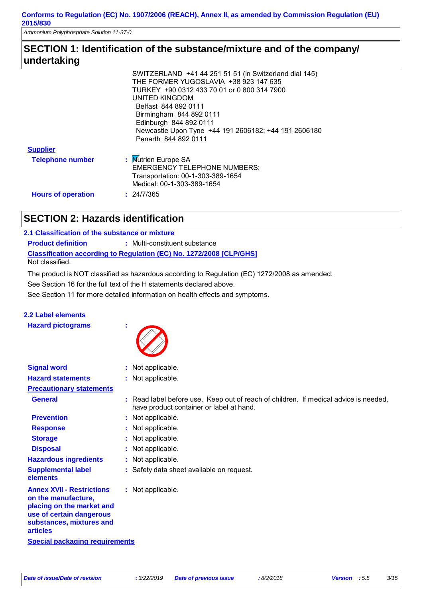*Ammonium Polyphosphate Solution 11-37-0* 

### **SECTION 1: Identification of the substance/mixture and of the company/ undertaking**

|                           | SWITZERLAND +41 44 251 51 51 (in Switzerland dial 145) |
|---------------------------|--------------------------------------------------------|
|                           | THE FORMER YUGOSLAVIA +38 923 147 635                  |
|                           | TURKEY +90 0312 433 70 01 or 0 800 314 7900            |
|                           | UNITED KINGDOM                                         |
|                           | Belfast 844 892 0111                                   |
|                           | Birmingham 844 892 0111                                |
|                           | Edinburgh 844 892 0111                                 |
|                           | Newcastle Upon Tyne +44 191 2606182; +44 191 2606180   |
|                           | Penarth 844 892 0111                                   |
| <b>Supplier</b>           |                                                        |
| <b>Telephone number</b>   | : Mutrien Europe SA                                    |
|                           | <b>EMERGENCY TELEPHONE NUMBERS:</b>                    |
|                           | Transportation: 00-1-303-389-1654                      |
|                           | Medical: 00-1-303-389-1654                             |
| <b>Hours of operation</b> | : 24/7/365                                             |
|                           |                                                        |

### **SECTION 2: Hazards identification**

| 2.1 Classification of the substance or mixture |                                                                            |
|------------------------------------------------|----------------------------------------------------------------------------|
| <b>Product definition</b>                      | : Multi-constituent substance                                              |
|                                                | <b>Classification according to Regulation (EC) No. 1272/2008 [CLP/GHS]</b> |
| Not classified.                                |                                                                            |

The product is NOT classified as hazardous according to Regulation (EC) 1272/2008 as amended.

See Section 16 for the full text of the H statements declared above.

See Section 11 for more detailed information on health effects and symptoms.

#### **2.2 Label elements**

**Hazard pictograms :**



| <b>Signal word</b>                                                                                                                                              | : Not applicable.                                                                                                                |
|-----------------------------------------------------------------------------------------------------------------------------------------------------------------|----------------------------------------------------------------------------------------------------------------------------------|
| <b>Hazard statements</b>                                                                                                                                        | : Not applicable.                                                                                                                |
| <b>Precautionary statements</b>                                                                                                                                 |                                                                                                                                  |
| <b>General</b>                                                                                                                                                  | : Read label before use. Keep out of reach of children. If medical advice is needed,<br>have product container or label at hand. |
| <b>Prevention</b>                                                                                                                                               | : Not applicable.                                                                                                                |
| <b>Response</b>                                                                                                                                                 | : Not applicable.                                                                                                                |
| <b>Storage</b>                                                                                                                                                  | : Not applicable.                                                                                                                |
| <b>Disposal</b>                                                                                                                                                 | Not applicable.                                                                                                                  |
| <b>Hazardous ingredients</b>                                                                                                                                    | : Not applicable.                                                                                                                |
| <b>Supplemental label</b><br>elements                                                                                                                           | : Safety data sheet available on request.                                                                                        |
| <b>Annex XVII - Restrictions</b><br>on the manufacture,<br>placing on the market and<br>use of certain dangerous<br>substances, mixtures and<br><b>articles</b> | : Not applicable.                                                                                                                |
| <b>Special packaging requirements</b>                                                                                                                           |                                                                                                                                  |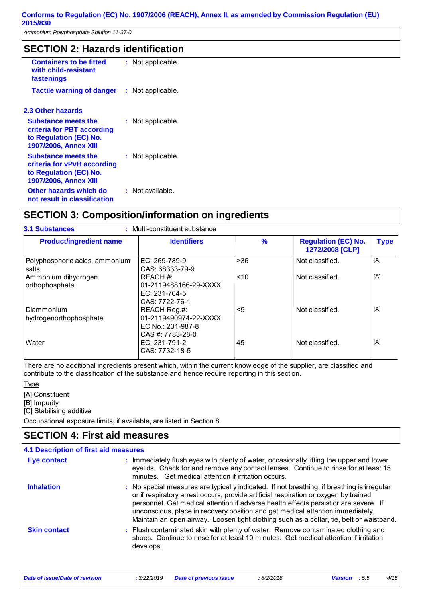*Ammonium Polyphosphate Solution 11-37-0* 

### **SECTION 2: Hazards identification**

| <b>Containers to be fitted</b><br>with child-resistant<br>fastenings                                                | : Not applicable.     |
|---------------------------------------------------------------------------------------------------------------------|-----------------------|
| <b>Tactile warning of danger</b>                                                                                    | Not applicable.<br>t. |
| <b>2.3 Other hazards</b>                                                                                            |                       |
| <b>Substance meets the</b><br>criteria for PBT according<br>to Regulation (EC) No.<br><b>1907/2006, Annex XIII</b>  | : Not applicable.     |
| <b>Substance meets the</b><br>criteria for vPvB according<br>to Regulation (EC) No.<br><b>1907/2006, Annex XIII</b> | : Not applicable.     |
| Other hazards which do<br>not result in classification                                                              | : Not available.      |

### **SECTION 3: Composition/information on ingredients**

| <b>3.1 Substances</b><br>: Multi-constituent substance |                                                                                |       |                                               |             |
|--------------------------------------------------------|--------------------------------------------------------------------------------|-------|-----------------------------------------------|-------------|
| <b>Product/ingredient name</b>                         | <b>Identifiers</b>                                                             | $\%$  | <b>Regulation (EC) No.</b><br>1272/2008 [CLP] | <b>Type</b> |
| Polyphosphoric acids, ammonium<br>salts                | EC: 269-789-9<br>CAS: 68333-79-9                                               | $>36$ | Not classified.                               | [A]         |
| Ammonium dihydrogen<br>orthophosphate                  | REACH #:<br>01-2119488166-29-XXXX<br>$FC: 231-764-5$<br>CAS: 7722-76-1         | < 10  | Not classified.                               | [A]         |
| Diammonium<br>hydrogenorthophosphate                   | REACH Reg.#:<br>01-2119490974-22-XXXX<br>EC No.: 231-987-8<br>CAS #: 7783-28-0 | <9    | Not classified.                               | [A]         |
| Water                                                  | EC: 231-791-2<br>CAS: 7732-18-5                                                | 45    | Not classified.                               | [A]         |

There are no additional ingredients present which, within the current knowledge of the supplier, are classified and contribute to the classification of the substance and hence require reporting in this section.

Type

[A] Constituent

[B] Impurity

[C] Stabilising additive

Occupational exposure limits, if available, are listed in Section 8.

### **SECTION 4: First aid measures**

| <b>4.1 Description of first aid measures</b> |                                                                                                                                                                                                                                                                                                                                                                                                                                                          |
|----------------------------------------------|----------------------------------------------------------------------------------------------------------------------------------------------------------------------------------------------------------------------------------------------------------------------------------------------------------------------------------------------------------------------------------------------------------------------------------------------------------|
| Eye contact                                  | : Immediately flush eyes with plenty of water, occasionally lifting the upper and lower<br>eyelids. Check for and remove any contact lenses. Continue to rinse for at least 15<br>minutes. Get medical attention if irritation occurs.                                                                                                                                                                                                                   |
| <b>Inhalation</b>                            | : No special measures are typically indicated. If not breathing, if breathing is irregular<br>or if respiratory arrest occurs, provide artificial respiration or oxygen by trained<br>personnel. Get medical attention if adverse health effects persist or are severe. If<br>unconscious, place in recovery position and get medical attention immediately.<br>Maintain an open airway. Loosen tight clothing such as a collar, tie, belt or waistband. |
| <b>Skin contact</b>                          | : Flush contaminated skin with plenty of water. Remove contaminated clothing and<br>shoes. Continue to rinse for at least 10 minutes. Get medical attention if irritation<br>develops.                                                                                                                                                                                                                                                                   |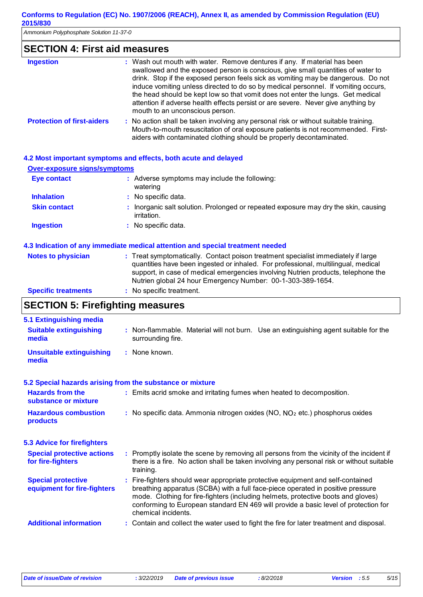*Ammonium Polyphosphate Solution 11-37-0* 

| <b>SECTION 4: First aid measures</b> |                                                                                                                                                                                                                                                                                                                                                                                                                                                                                                                                                     |  |
|--------------------------------------|-----------------------------------------------------------------------------------------------------------------------------------------------------------------------------------------------------------------------------------------------------------------------------------------------------------------------------------------------------------------------------------------------------------------------------------------------------------------------------------------------------------------------------------------------------|--|
| <b>Ingestion</b>                     | : Wash out mouth with water. Remove dentures if any. If material has been<br>swallowed and the exposed person is conscious, give small quantities of water to<br>drink. Stop if the exposed person feels sick as vomiting may be dangerous. Do not<br>induce vomiting unless directed to do so by medical personnel. If vomiting occurs,<br>the head should be kept low so that vomit does not enter the lungs. Get medical<br>attention if adverse health effects persist or are severe. Never give anything by<br>mouth to an unconscious person. |  |
| <b>Protection of first-aiders</b>    | : No action shall be taken involving any personal risk or without suitable training.<br>Mouth-to-mouth resuscitation of oral exposure patients is not recommended. First-<br>aiders with contaminated clothing should be properly decontaminated.                                                                                                                                                                                                                                                                                                   |  |

|  |  | 4.2 Most important symptoms and effects, both acute and delayed |  |
|--|--|-----------------------------------------------------------------|--|
|  |  |                                                                 |  |

| <b>Over-exposure signs/symptoms</b> |                                                                                                         |
|-------------------------------------|---------------------------------------------------------------------------------------------------------|
| <b>Eye contact</b>                  | : Adverse symptoms may include the following:<br>watering                                               |
| <b>Inhalation</b>                   | : No specific data.                                                                                     |
| <b>Skin contact</b>                 | Inorganic salt solution. Prolonged or repeated exposure may dry the skin, causing<br><i>irritation.</i> |
| <b>Ingestion</b>                    | : No specific data.                                                                                     |
|                                     |                                                                                                         |
|                                     | 4.3 Indication of any immediate medical attention and special treatment needed                          |
| Alatan ta shekeelaha                | a Tanatan da wasan kasili. Anata da walaan tana tana da ama dalinti waxa da da kufu kufu wa             |

| <b>Notes to physician</b>  | : Treat symptomatically. Contact poison treatment specialist immediately if large |
|----------------------------|-----------------------------------------------------------------------------------|
|                            | quantities have been ingested or inhaled. For professional, multilingual, medical |
|                            | support, in case of medical emergencies involving Nutrien products, telephone the |
|                            | Nutrien global 24 hour Emergency Number: 00-1-303-389-1654.                       |
| <b>Specific treatments</b> | : No specific treatment.                                                          |

## **SECTION 5: Firefighting measures**

| 5.1 Extinguishing media                                   |                                                                                                                                                                                                                                                                                                                                                                       |
|-----------------------------------------------------------|-----------------------------------------------------------------------------------------------------------------------------------------------------------------------------------------------------------------------------------------------------------------------------------------------------------------------------------------------------------------------|
| <b>Suitable extinguishing</b><br>media                    | : Non-flammable. Material will not burn. Use an extinguishing agent suitable for the<br>surrounding fire.                                                                                                                                                                                                                                                             |
| <b>Unsuitable extinguishing</b><br>media                  | : None known.                                                                                                                                                                                                                                                                                                                                                         |
| 5.2 Special hazards arising from the substance or mixture |                                                                                                                                                                                                                                                                                                                                                                       |
| <b>Hazards from the</b><br>substance or mixture           | : Emits acrid smoke and irritating fumes when heated to decomposition.                                                                                                                                                                                                                                                                                                |
| <b>Hazardous combustion</b><br>products                   | : No specific data. Ammonia nitrogen oxides $(NO, NO2 etc.)$ phosphorus oxides                                                                                                                                                                                                                                                                                        |
| <b>5.3 Advice for firefighters</b>                        |                                                                                                                                                                                                                                                                                                                                                                       |
| <b>Special protective actions</b><br>for fire-fighters    | : Promptly isolate the scene by removing all persons from the vicinity of the incident if<br>there is a fire. No action shall be taken involving any personal risk or without suitable<br>training.                                                                                                                                                                   |
| <b>Special protective</b><br>equipment for fire-fighters  | : Fire-fighters should wear appropriate protective equipment and self-contained<br>breathing apparatus (SCBA) with a full face-piece operated in positive pressure<br>mode. Clothing for fire-fighters (including helmets, protective boots and gloves)<br>conforming to European standard EN 469 will provide a basic level of protection for<br>chemical incidents. |
| <b>Additional information</b>                             | : Contain and collect the water used to fight the fire for later treatment and disposal.                                                                                                                                                                                                                                                                              |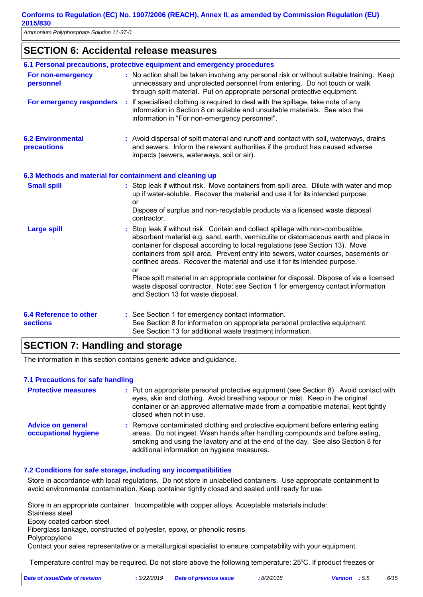*Ammonium Polyphosphate Solution 11-37-0* 

### **SECTION 6: Accidental release measures**

|                                                          |     | 6.1 Personal precautions, protective equipment and emergency procedures                                                                                                                                                                                                                                                                                                                                                                                                                                                                                                                                                                               |
|----------------------------------------------------------|-----|-------------------------------------------------------------------------------------------------------------------------------------------------------------------------------------------------------------------------------------------------------------------------------------------------------------------------------------------------------------------------------------------------------------------------------------------------------------------------------------------------------------------------------------------------------------------------------------------------------------------------------------------------------|
| For non-emergency<br>personnel                           |     | : No action shall be taken involving any personal risk or without suitable training. Keep<br>unnecessary and unprotected personnel from entering. Do not touch or walk<br>through spilt material. Put on appropriate personal protective equipment.                                                                                                                                                                                                                                                                                                                                                                                                   |
| For emergency responders                                 | - 1 | If specialised clothing is required to deal with the spillage, take note of any<br>information in Section 8 on suitable and unsuitable materials. See also the<br>information in "For non-emergency personnel".                                                                                                                                                                                                                                                                                                                                                                                                                                       |
| <b>6.2 Environmental</b><br>precautions                  |     | : Avoid dispersal of spilt material and runoff and contact with soil, waterways, drains<br>and sewers. Inform the relevant authorities if the product has caused adverse<br>impacts (sewers, waterways, soil or air).                                                                                                                                                                                                                                                                                                                                                                                                                                 |
| 6.3 Methods and material for containment and cleaning up |     |                                                                                                                                                                                                                                                                                                                                                                                                                                                                                                                                                                                                                                                       |
| <b>Small spill</b>                                       |     | : Stop leak if without risk. Move containers from spill area. Dilute with water and mop<br>up if water-soluble. Recover the material and use it for its intended purpose.<br>or<br>Dispose of surplus and non-recyclable products via a licensed waste disposal<br>contractor.                                                                                                                                                                                                                                                                                                                                                                        |
| <b>Large spill</b>                                       |     | : Stop leak if without risk. Contain and collect spillage with non-combustible,<br>absorbent material e.g. sand, earth, vermiculite or diatomaceous earth and place in<br>container for disposal according to local regulations (see Section 13). Move<br>containers from spill area. Prevent entry into sewers, water courses, basements or<br>confined areas. Recover the material and use it for its intended purpose.<br>or<br>Place spilt material in an appropriate container for disposal. Dispose of via a licensed<br>waste disposal contractor. Note: see Section 1 for emergency contact information<br>and Section 13 for waste disposal. |
| <b>6.4 Reference to other</b><br><b>sections</b>         |     | : See Section 1 for emergency contact information.<br>See Section 8 for information on appropriate personal protective equipment.<br>See Section 13 for additional waste treatment information.                                                                                                                                                                                                                                                                                                                                                                                                                                                       |

### **SECTION 7: Handling and storage**

The information in this section contains generic advice and guidance.

#### **7.1 Precautions for safe handling**

| <b>Protective measures</b>                       | : Put on appropriate personal protective equipment (see Section 8). Avoid contact with<br>eyes, skin and clothing. Avoid breathing vapour or mist. Keep in the original<br>container or an approved alternative made from a compatible material, kept tightly<br>closed when not in use.          |
|--------------------------------------------------|---------------------------------------------------------------------------------------------------------------------------------------------------------------------------------------------------------------------------------------------------------------------------------------------------|
| <b>Advice on general</b><br>occupational hygiene | : Remove contaminated clothing and protective equipment before entering eating<br>areas. Do not ingest. Wash hands after handling compounds and before eating,<br>smoking and using the lavatory and at the end of the day. See also Section 8 for<br>additional information on hygiene measures. |

#### **7.2 Conditions for safe storage, including any incompatibilities**

Store in accordance with local regulations. Do not store in unlabelled containers. Use appropriate containment to avoid environmental contamination. Keep container tightly closed and sealed until ready for use.

Store in an appropriate container. Incompatible with copper alloys. Acceptable materials include:

Stainless steel

Epoxy coated carbon steel

Fiberglass tankage, constructed of polyester, epoxy, or phenolic resins

Polypropylene

Contact your sales representative or a metallurgical specialist to ensure compatability with your equipment.

Temperature control may be required. Do not store above the following temperature: 25°C. If product freezes or

| Date of issue/Date of revision | : 3/22/2019 Date of previous issue | 8/2/2018 | <b>Version</b> : 5.5 | 6/15 |
|--------------------------------|------------------------------------|----------|----------------------|------|
|                                |                                    |          |                      |      |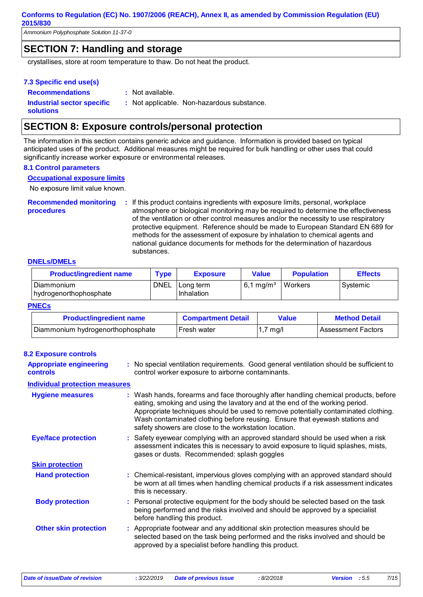*Ammonium Polyphosphate Solution 11-37-0* 

### **SECTION 7: Handling and storage**

crystallises, store at room temperature to thaw. Do not heat the product.

#### **7.3 Specific end use(s)**

**Recommendations : Industrial sector specific : solutions**

- : Not available.
- : Not applicable. Non-hazardous substance.

### **SECTION 8: Exposure controls/personal protection**

The information in this section contains generic advice and guidance. Information is provided based on typical anticipated uses of the product. Additional measures might be required for bulk handling or other uses that could significantly increase worker exposure or environmental releases.

#### **8.1 Control parameters**

**Occupational exposure limits**

No exposure limit value known.

**Recommended monitoring procedures :** If this product contains ingredients with exposure limits, personal, workplace atmosphere or biological monitoring may be required to determine the effectiveness of the ventilation or other control measures and/or the necessity to use respiratory protective equipment. Reference should be made to European Standard EN 689 for methods for the assessment of exposure by inhalation to chemical agents and national guidance documents for methods for the determination of hazardous substances.

#### **DNELs/DMELs**

| <b>Product/ingredient name</b>       | <b>Type</b> | <b>Exposure</b>           | Value                | <b>Population</b> | <b>Effects</b> |
|--------------------------------------|-------------|---------------------------|----------------------|-------------------|----------------|
| Diammonium<br>hydrogenorthophosphate | DNEL        | l Lona term<br>Inhalation | $6.1 \text{ ma/m}^3$ | Workers           | Systemic       |

#### **PNECs**

| <b>Product/ingredient name</b>    | <b>Compartment Detail</b> | Value               | <b>Method Detail</b> |
|-----------------------------------|---------------------------|---------------------|----------------------|
| Diammonium hydrogenorthophosphate | Fresh water               | $1.7 \text{ m}$ g/l | l Assessment Factors |

| <b>8.2 Exposure controls</b>                      |                                                                                                                                                                                                                                                                                                                                                                                                   |
|---------------------------------------------------|---------------------------------------------------------------------------------------------------------------------------------------------------------------------------------------------------------------------------------------------------------------------------------------------------------------------------------------------------------------------------------------------------|
| <b>Appropriate engineering</b><br><b>controls</b> | : No special ventilation requirements. Good general ventilation should be sufficient to<br>control worker exposure to airborne contaminants.                                                                                                                                                                                                                                                      |
| <b>Individual protection measures</b>             |                                                                                                                                                                                                                                                                                                                                                                                                   |
| <b>Hygiene measures</b>                           | : Wash hands, forearms and face thoroughly after handling chemical products, before<br>eating, smoking and using the lavatory and at the end of the working period.<br>Appropriate techniques should be used to remove potentially contaminated clothing.<br>Wash contaminated clothing before reusing. Ensure that eyewash stations and<br>safety showers are close to the workstation location. |
| <b>Eye/face protection</b>                        | : Safety eyewear complying with an approved standard should be used when a risk<br>assessment indicates this is necessary to avoid exposure to liquid splashes, mists,<br>gases or dusts. Recommended: splash goggles                                                                                                                                                                             |
| <b>Skin protection</b>                            |                                                                                                                                                                                                                                                                                                                                                                                                   |
| <b>Hand protection</b>                            | : Chemical-resistant, impervious gloves complying with an approved standard should<br>be worn at all times when handling chemical products if a risk assessment indicates<br>this is necessary.                                                                                                                                                                                                   |
| <b>Body protection</b>                            | : Personal protective equipment for the body should be selected based on the task<br>being performed and the risks involved and should be approved by a specialist<br>before handling this product.                                                                                                                                                                                               |
| <b>Other skin protection</b>                      | : Appropriate footwear and any additional skin protection measures should be<br>selected based on the task being performed and the risks involved and should be<br>approved by a specialist before handling this product.                                                                                                                                                                         |

*Date of issue/Date of revision* **:** *3/22/2019 Date of previous issue : 8/2/2018 Version : 5.5 7/15*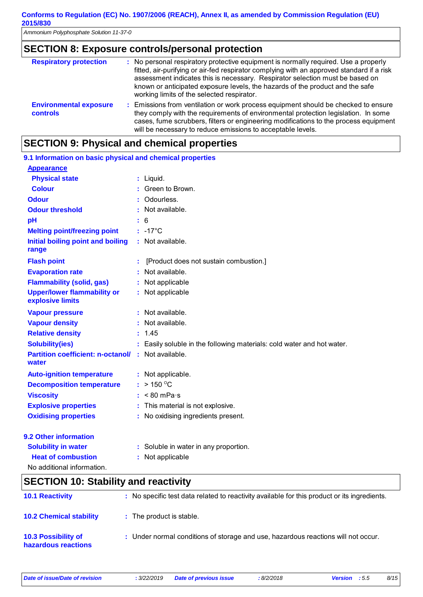*Ammonium Polyphosphate Solution 11-37-0* 

### **SECTION 8: Exposure controls/personal protection**

| <b>Respiratory protection</b>                    | : No personal respiratory protective equipment is normally required. Use a properly<br>fitted, air-purifying or air-fed respirator complying with an approved standard if a risk<br>assessment indicates this is necessary. Respirator selection must be based on<br>known or anticipated exposure levels, the hazards of the product and the safe<br>working limits of the selected respirator. |  |
|--------------------------------------------------|--------------------------------------------------------------------------------------------------------------------------------------------------------------------------------------------------------------------------------------------------------------------------------------------------------------------------------------------------------------------------------------------------|--|
| <b>Environmental exposure</b><br><b>controls</b> | : Emissions from ventilation or work process equipment should be checked to ensure<br>they comply with the requirements of environmental protection legislation. In some<br>cases, fume scrubbers, filters or engineering modifications to the process equipment<br>will be necessary to reduce emissions to acceptable levels.                                                                  |  |

### **SECTION 9: Physical and chemical properties**

| 9.1 Information on basic physical and chemical properties          |                                                                        |
|--------------------------------------------------------------------|------------------------------------------------------------------------|
| <b>Appearance</b>                                                  |                                                                        |
| <b>Physical state</b>                                              | $:$ Liquid.                                                            |
| <b>Colour</b>                                                      | Green to Brown.                                                        |
| <b>Odour</b>                                                       | Odourless.                                                             |
| <b>Odour threshold</b>                                             | : Not available.                                                       |
| pH                                                                 | $\frac{1}{1}$ 6                                                        |
| <b>Melting point/freezing point</b>                                | $: -17^{\circ}$ C                                                      |
| Initial boiling point and boiling<br>range                         | : Not available.                                                       |
| <b>Flash point</b>                                                 | [Product does not sustain combustion.]                                 |
| <b>Evaporation rate</b>                                            | : Not available.                                                       |
| <b>Flammability (solid, gas)</b>                                   | : Not applicable                                                       |
| <b>Upper/lower flammability or</b><br>explosive limits             | : Not applicable                                                       |
| <b>Vapour pressure</b>                                             | : Not available.                                                       |
| <b>Vapour density</b>                                              | : Not available.                                                       |
| <b>Relative density</b>                                            | : 1.45                                                                 |
| <b>Solubility(ies)</b>                                             | : Easily soluble in the following materials: cold water and hot water. |
| <b>Partition coefficient: n-octanol/ : Not available.</b><br>water |                                                                        |
| <b>Auto-ignition temperature</b>                                   | : Not applicable.                                                      |
| <b>Decomposition temperature</b>                                   | : > 150 °C                                                             |
| <b>Viscosity</b>                                                   | $:$ < 80 mPa $\cdot$ s                                                 |
| <b>Explosive properties</b>                                        | : This material is not explosive.                                      |
| <b>Oxidising properties</b>                                        | : No oxidising ingredients present.                                    |
| 9.2 Other information                                              |                                                                        |
| <b>Solubility in water</b>                                         | : Soluble in water in any proportion.                                  |
| <b>Heat of combustion</b>                                          | Not applicable                                                         |

No additional information.

## **SECTION 10: Stability and reactivity**

| <b>10.1 Reactivity</b>                            | : No specific test data related to reactivity available for this product or its ingredients. |
|---------------------------------------------------|----------------------------------------------------------------------------------------------|
| <b>10.2 Chemical stability</b>                    | : The product is stable.                                                                     |
| <b>10.3 Possibility of</b><br>hazardous reactions | : Under normal conditions of storage and use, hazardous reactions will not occur.            |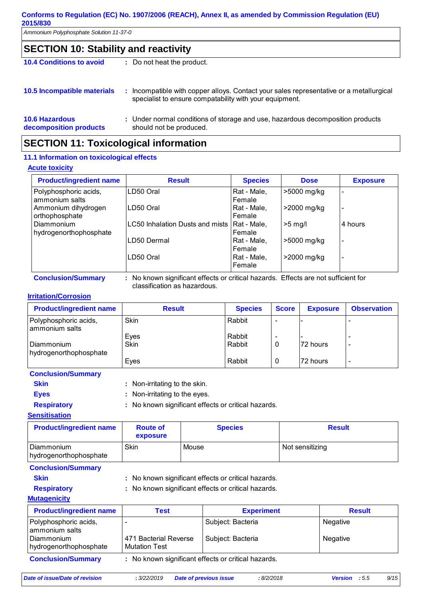*Ammonium Polyphosphate Solution 11-37-0* 

### **SECTION 10: Stability and reactivity**

**10.4 Conditions to avoid :** Do not heat the product.

| 10.5 Incompatible materials | : Incompatible with copper alloys. Contact your sales representative or a metallurgical<br>specialist to ensure compatability with your equipment. |
|-----------------------------|----------------------------------------------------------------------------------------------------------------------------------------------------|
|                             |                                                                                                                                                    |

#### **10.6 Hazardous decomposition products** Under normal conditions of storage and use, hazardous decomposition products **:** should not be produced.

### **SECTION 11: Toxicological information**

#### **11.1 Information on toxicological effects**

#### **Acute toxicity**

| <b>Product/ingredient name</b>          | <b>Result</b>                   | <b>Species</b>        | <b>Dose</b>    | <b>Exposure</b> |
|-----------------------------------------|---------------------------------|-----------------------|----------------|-----------------|
| Polyphosphoric acids,<br>ammonium salts | LD50 Oral                       | Rat - Male,<br>Female | >5000 mg/kg    |                 |
| Ammonium dihydrogen<br>orthophosphate   | LD50 Oral                       | Rat - Male,<br>Female | >2000 mg/kg    |                 |
| Diammonium<br>hydrogenorthophosphate    | LC50 Inhalation Dusts and mists | Rat - Male,<br>Female | $>5$ mg/       | 4 hours         |
|                                         | LD50 Dermal                     | Rat - Male,<br>Female | >5000 mg/kg    |                 |
|                                         | LD50 Oral                       | Rat - Male,<br>Female | $>$ 2000 mg/kg |                 |

**Conclusion/Summary :** No known significant effects or critical hazards. Effects are not sufficient for classification as hazardous.

#### **Irritation/Corrosion**

| <b>Product/ingredient name</b>          | <b>Result</b>       | <b>Species</b>   | <b>Score</b> | <b>Exposure</b> | <b>Observation</b> |
|-----------------------------------------|---------------------|------------------|--------------|-----------------|--------------------|
| Polyphosphoric acids,<br>ammonium salts | Skin                | Rabbit           |              |                 |                    |
| l Diammonium<br>hydrogenorthophosphate  | Eyes<br><b>Skin</b> | Rabbit<br>Rabbit | 0            | 72 hours        |                    |
|                                         | Eyes                | Rabbit           | 0            | 72 hours        |                    |

### **Conclusion/Summary Skin** : Non-irritating to the skin. **Eyes** : Non-irritating to the eyes. **Respiratory :** No known significant effects or critical hazards.

#### **Sensitisation**

| <b>Product/ingredient name</b>         | <b>Route of</b><br>exposure | <b>Species</b> | <b>Result</b>   |
|----------------------------------------|-----------------------------|----------------|-----------------|
| l Diammonium<br>hydrogenorthophosphate | Skin                        | Mouse          | Not sensitizing |

#### **Conclusion/Summary**

- 
- 

**Skin** : No known significant effects or critical hazards. **Respiratory :** No known significant effects or critical hazards.

#### **Mutagenicity**

| <b>Product/ingredient name</b>          | Test                                                | <b>Experiment</b> | <b>Result</b> |
|-----------------------------------------|-----------------------------------------------------|-------------------|---------------|
| Polyphosphoric acids,<br>ammonium salts |                                                     | Subject: Bacteria | Negative      |
| l Diammonium<br>hydrogenorthophosphate  | 471 Bacterial Reverse<br><b>Mutation Test</b>       | Subject: Bacteria | Negative      |
| <b>Conclusion/Summary</b>               | : No known significant effects or critical hazards. |                   |               |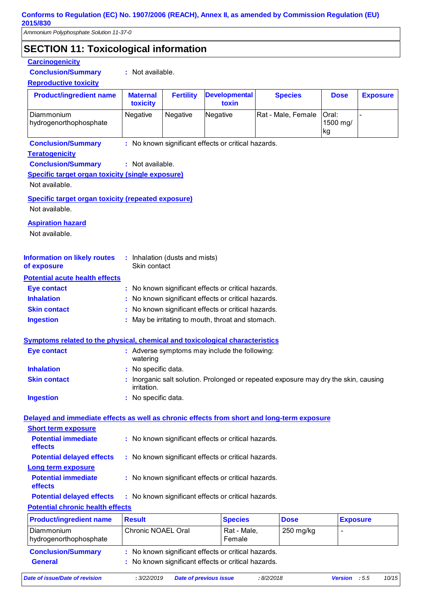*Ammonium Polyphosphate Solution 11-37-0* 

### **SECTION 11: Toxicological information**

#### **Potential chronic health effects Potential acute health effects Inhalation : No known significant effects or critical hazards. Ingestion be in the induced by May be irritating to mouth, throat and stomach. Skin contact : No known significant effects or critical hazards. Eye contact :** No known significant effects or critical hazards. **General :** No known significant effects or critical hazards. Diammonium hydrogenorthophosphate Chronic NOAEL Oral Rat - Male, Female 250 mg/kg **Product/ingredient name Result Species Burgers Burgers Burgers Burgers Exposure Conclusion/Summary :** No known significant effects or critical hazards. **Carcinogenicity Conclusion/Summary :** Not available. **Teratogenicity Conclusion/Summary :** Not available. **Reproductive toxicity Product/ingredient name | Maternal toxicity Fertility Developmental toxin Species Conclusion/Summary :** No known significant effects or critical hazards. **Dose Exposure** Diammonium hydrogenorthophosphate Negative Negative Negative Rat - Male, Female Oral: 1500 mg/ kg - **Symptoms related to the physical, chemical and toxicological characteristics Skin contact Ingestion Inhalation** : No specific data. No specific data. **:** Inorganic salt solution. Prolonged or repeated exposure may dry the skin, causing irritation. **: Eye contact :** Adverse symptoms may include the following: watering : Inhalation (dusts and mists) Skin contact **Specific target organ toxicity (single exposure) Specific target organ toxicity (repeated exposure) Aspiration hazard Information on likely routes of exposure Delayed and immediate effects as well as chronic effects from short and long-term exposure Short term exposure Long term exposure Potential immediate effects Potential delayed effects : :** No known significant effects or critical hazards. **Potential immediate effects Potential delayed effects : :** No known significant effects or critical hazards. : No known significant effects or critical hazards. : No known significant effects or critical hazards. Not available. Not available. Not available.

*Date of issue/Date of revision* **:** *3/22/2019 Date of previous issue : 8/2/2018 Version : 5.5 10/15*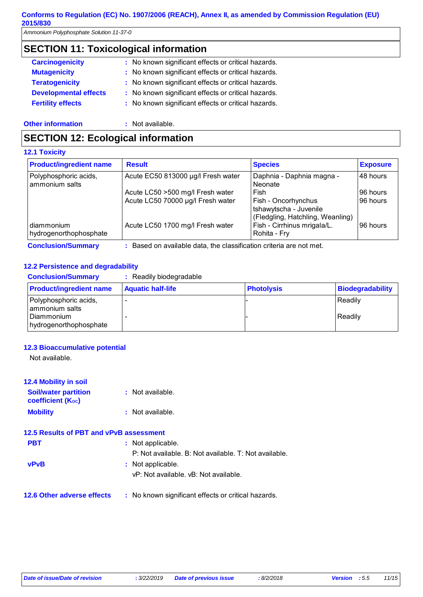*Ammonium Polyphosphate Solution 11-37-0* 

### **SECTION 11: Toxicological information**

| : No known significant effects or critical hazards. |  |
|-----------------------------------------------------|--|
| : No known significant effects or critical hazards. |  |
| : No known significant effects or critical hazards. |  |
| : No known significant effects or critical hazards. |  |
| : No known significant effects or critical hazards. |  |
|                                                     |  |

**Other information :** Not available.

### **SECTION 12: Ecological information**

#### **12.1 Toxicity**

| <b>Product/ingredient name</b>          | <b>Result</b>                      | <b>Species</b>                                                                  | <b>Exposure</b> |
|-----------------------------------------|------------------------------------|---------------------------------------------------------------------------------|-----------------|
| Polyphosphoric acids,<br>ammonium salts | Acute EC50 813000 µg/l Fresh water | Daphnia - Daphnia magna -<br>Neonate                                            | 48 hours        |
|                                         | Acute LC50 >500 mg/l Fresh water   | Fish                                                                            | 96 hours        |
|                                         | Acute LC50 70000 µg/l Fresh water  | Fish - Oncorhynchus<br>tshawytscha - Juvenile                                   | 96 hours        |
| diammonium<br>hydrogenorthophosphate    | Acute LC50 1700 mg/l Fresh water   | (Fledgling, Hatchling, Weanling)<br>Fish - Cirrhinus mrigala/L.<br>Rohita - Fry | 96 hours        |

**Conclusion/Summary :** Based on available data, the classification criteria are not met.

#### **12.2 Persistence and degradability**

| <b>Conclusion/Summary</b>                                                       | : Readily biodegradable  |                   |                         |
|---------------------------------------------------------------------------------|--------------------------|-------------------|-------------------------|
| <b>Product/ingredient name</b>                                                  | <b>Aquatic half-life</b> | <b>Photolysis</b> | <b>Biodegradability</b> |
| Polyphosphoric acids,<br>ammonium salts<br>Diammonium<br>hydrogenorthophosphate |                          |                   | Readily<br>Readily      |

#### **12.3 Bioaccumulative potential**

Not available.

| <b>12.4 Mobility in soil</b>                     |                    |
|--------------------------------------------------|--------------------|
| <b>Soil/water partition</b><br>coefficient (Koc) | : Not available.   |
| <b>Mobility</b>                                  | $:$ Not available. |

| 12.5 Results of PBT and vPvB assessment |                                                       |
|-----------------------------------------|-------------------------------------------------------|
| <b>PBT</b>                              | : Not applicable.                                     |
|                                         | P: Not available, B: Not available, T: Not available. |
| <b>vPvB</b>                             | : Not applicable.                                     |
|                                         | vP: Not available, vB: Not available,                 |
| 12.6 Other adverse effects              | : No known significant effects or critical hazards.   |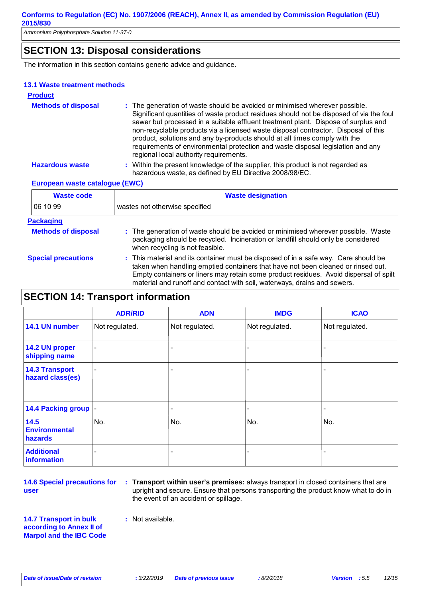*Ammonium Polyphosphate Solution 11-37-0* 

### **SECTION 13: Disposal considerations**

The information in this section contains generic advice and guidance.

#### **13.1 Waste treatment methods**

| <b>Product</b>                 |                                                                                                                                                                                                                                                                                                                                                                                                                                                                                                                                                               |
|--------------------------------|---------------------------------------------------------------------------------------------------------------------------------------------------------------------------------------------------------------------------------------------------------------------------------------------------------------------------------------------------------------------------------------------------------------------------------------------------------------------------------------------------------------------------------------------------------------|
| <b>Methods of disposal</b>     | : The generation of waste should be avoided or minimised wherever possible.<br>Significant quantities of waste product residues should not be disposed of via the foul<br>sewer but processed in a suitable effluent treatment plant. Dispose of surplus and<br>non-recyclable products via a licensed waste disposal contractor. Disposal of this<br>product, solutions and any by-products should at all times comply with the<br>requirements of environmental protection and waste disposal legislation and any<br>regional local authority requirements. |
| <b>Hazardous waste</b>         | : Within the present knowledge of the supplier, this product is not regarded as<br>hazardous waste, as defined by EU Directive 2008/98/EC.                                                                                                                                                                                                                                                                                                                                                                                                                    |
| European waste catalogue (EWC) |                                                                                                                                                                                                                                                                                                                                                                                                                                                                                                                                                               |

| <b>Waste code</b>                              | <b>Waste designation</b>                                                                                                                                                                                 |
|------------------------------------------------|----------------------------------------------------------------------------------------------------------------------------------------------------------------------------------------------------------|
| 06 10 99                                       | wastes not otherwise specified                                                                                                                                                                           |
| <b>Packaging</b><br><b>Methods of disposal</b> | : The generation of waste should be avoided or minimised wherever possible. Waste<br>packaging should be recycled. Incineration or landfill should only be considered<br>when recycling is not feasible. |

**Special precautions :** This material and its container must be disposed of in a safe way. Care should be taken when handling emptied containers that have not been cleaned or rinsed out. Empty containers or liners may retain some product residues. Avoid dispersal of spilt material and runoff and contact with soil, waterways, drains and sewers.

### **SECTION 14: Transport information**

|                                           | <b>ADR/RID</b>           | <b>ADN</b>               | <b>IMDG</b>    | <b>ICAO</b>    |
|-------------------------------------------|--------------------------|--------------------------|----------------|----------------|
| 14.1 UN number                            | Not regulated.           | Not regulated.           | Not regulated. | Not regulated. |
| 14.2 UN proper<br>shipping name           | $\blacksquare$           |                          |                |                |
| <b>14.3 Transport</b><br>hazard class(es) | $\blacksquare$           | $\overline{\phantom{a}}$ |                | -              |
| 14.4 Packing group  -                     |                          | ۰                        |                | -              |
| 14.5<br><b>Environmental</b><br>hazards   | No.                      | No.                      | No.            | No.            |
| <b>Additional</b><br>information          | $\overline{\phantom{a}}$ | $\overline{\phantom{0}}$ |                |                |

**14.6 Special precautions for user**

**Transport within user's premises:** always transport in closed containers that are **:** upright and secure. Ensure that persons transporting the product know what to do in the event of an accident or spillage.

**14.7 Transport in bulk according to Annex II of Marpol and the IBC Code :** Not available.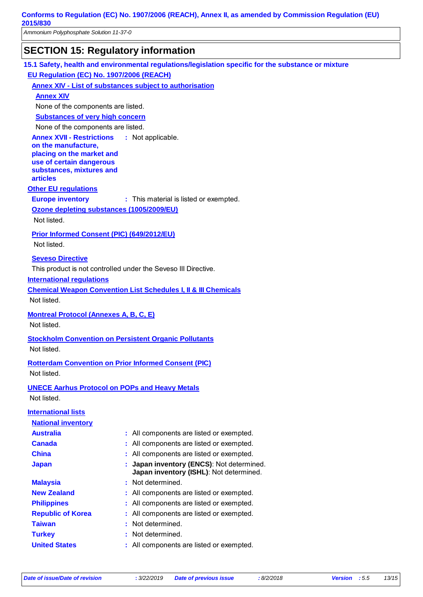*Ammonium Polyphosphate Solution 11-37-0* 

### **SECTION 15: Regulatory information**

**15.1 Safety, health and environmental regulations/legislation specific for the substance or mixture**

**EU Regulation (EC) No. 1907/2006 (REACH)**

**Annex XIV - List of substances subject to authorisation**

**Annex XIV**

None of the components are listed.

**Substances of very high concern**

None of the components are listed.

**Annex XVII - Restrictions** : Not applicable.

**on the manufacture, placing on the market and use of certain dangerous substances, mixtures and articles**

#### **Other EU regulations**

**Europe inventory** : This material is listed or exempted.

**Ozone depleting substances (1005/2009/EU)**

Not listed.

#### **Prior Informed Consent (PIC) (649/2012/EU)**

Not listed.

#### **Seveso Directive**

This product is not controlled under the Seveso III Directive.

#### **International regulations**

**Chemical Weapon Convention List Schedules I, II & III Chemicals**

Not listed.

**Montreal Protocol (Annexes A, B, C, E)**

Not listed.

**Stockholm Convention on Persistent Organic Pollutants** Not listed.

**Rotterdam Convention on Prior Informed Consent (PIC)** Not listed.

**UNECE Aarhus Protocol on POPs and Heavy Metals** Not listed.

### **International lists National inventory Australia :** All components are listed or exempted. **Canada** : All components are listed or exempted. **China** : All components are listed or exempted. **Japan : Japan inventory (ENCS)**: Not determined. **Japan inventory (ISHL)**: Not determined.

**Republic of Korea :** All components are listed or exempted. **Malaysia :** Not determined. **New Zealand :** All components are listed or exempted. **Philippines** : All components are listed or exempted. **Taiwan :** Not determined. **United States :** All components are listed or exempted. **Turkey : Not determined.**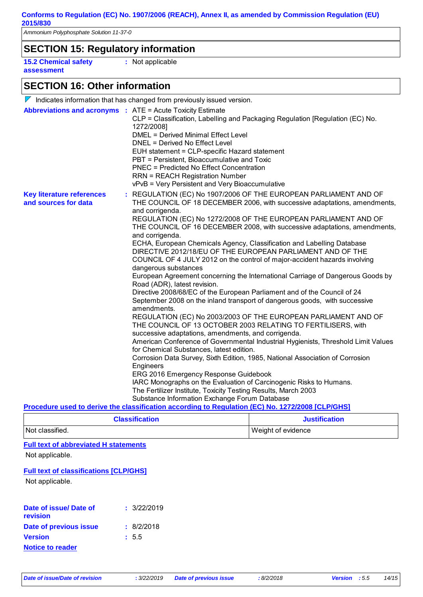*Ammonium Polyphosphate Solution 11-37-0* 

### **SECTION 15: Regulatory information**

**15.2 Chemical safety assessment**

**:** Not applicable

### **SECTION 16: Other information**

|                                                                   | $\nabla$ Indicates information that has changed from previously issued version.                                                                                                                                                                                                                                                                                                                                                                                                                                                                                                                                                                                                                                                                                                                                                                                                                                                                                                                                                                                                                                                                                                                                                                                                                                                                                                                                                                                                                                                                                                                                                          |
|-------------------------------------------------------------------|------------------------------------------------------------------------------------------------------------------------------------------------------------------------------------------------------------------------------------------------------------------------------------------------------------------------------------------------------------------------------------------------------------------------------------------------------------------------------------------------------------------------------------------------------------------------------------------------------------------------------------------------------------------------------------------------------------------------------------------------------------------------------------------------------------------------------------------------------------------------------------------------------------------------------------------------------------------------------------------------------------------------------------------------------------------------------------------------------------------------------------------------------------------------------------------------------------------------------------------------------------------------------------------------------------------------------------------------------------------------------------------------------------------------------------------------------------------------------------------------------------------------------------------------------------------------------------------------------------------------------------------|
| <b>Abbreviations and acronyms : ATE = Acute Toxicity Estimate</b> | CLP = Classification, Labelling and Packaging Regulation [Regulation (EC) No.<br>1272/2008]<br><b>DMEL = Derived Minimal Effect Level</b><br>DNEL = Derived No Effect Level<br>EUH statement = CLP-specific Hazard statement<br>PBT = Persistent, Bioaccumulative and Toxic<br><b>PNEC = Predicted No Effect Concentration</b><br><b>RRN = REACH Registration Number</b><br>vPvB = Very Persistent and Very Bioaccumulative                                                                                                                                                                                                                                                                                                                                                                                                                                                                                                                                                                                                                                                                                                                                                                                                                                                                                                                                                                                                                                                                                                                                                                                                              |
| <b>Key literature references</b><br>and sources for data          | : REGULATION (EC) No 1907/2006 OF THE EUROPEAN PARLIAMENT AND OF<br>THE COUNCIL OF 18 DECEMBER 2006, with successive adaptations, amendments,<br>and corrigenda.<br>REGULATION (EC) No 1272/2008 OF THE EUROPEAN PARLIAMENT AND OF<br>THE COUNCIL OF 16 DECEMBER 2008, with successive adaptations, amendments,<br>and corrigenda.<br>ECHA, European Chemicals Agency, Classification and Labelling Database<br>DIRECTIVE 2012/18/EU OF THE EUROPEAN PARLIAMENT AND OF THE<br>COUNCIL OF 4 JULY 2012 on the control of major-accident hazards involving<br>dangerous substances<br>European Agreement concerning the International Carriage of Dangerous Goods by<br>Road (ADR), latest revision.<br>Directive 2008/68/EC of the European Parliament and of the Council of 24<br>September 2008 on the inland transport of dangerous goods, with successive<br>amendments.<br>REGULATION (EC) No 2003/2003 OF THE EUROPEAN PARLIAMENT AND OF<br>THE COUNCIL OF 13 OCTOBER 2003 RELATING TO FERTILISERS, with<br>successive adaptations, amendments, and corrigenda.<br>American Conference of Governmental Industrial Hygienists, Threshold Limit Values<br>for Chemical Substances, latest edition.<br>Corrosion Data Survey, Sixth Edition, 1985, National Association of Corrosion<br>Engineers<br>ERG 2016 Emergency Response Guidebook<br>IARC Monographs on the Evaluation of Carcinogenic Risks to Humans.<br>The Fertilizer Institute, Toxicity Testing Results, March 2003<br>Substance Information Exchange Forum Database<br>Procedure used to derive the classification according to Regulation (EC) No. 1272/2008 [CLP/GHS] |
|                                                                   |                                                                                                                                                                                                                                                                                                                                                                                                                                                                                                                                                                                                                                                                                                                                                                                                                                                                                                                                                                                                                                                                                                                                                                                                                                                                                                                                                                                                                                                                                                                                                                                                                                          |

| <b>Classification</b> | <b>Justification</b> |
|-----------------------|----------------------|
| Not classified.       | Weight of evidence   |

#### **Full text of abbreviated H statements**

Not applicable.

#### **Full text of classifications [CLP/GHS]**

Not applicable.

| Date of issue/Date of<br><b>revision</b> | : 3/22/2019 |
|------------------------------------------|-------------|
| Date of previous issue                   | : 8/2/2018  |
| <b>Version</b>                           | : 5.5       |
| <b>Notice to reader</b>                  |             |